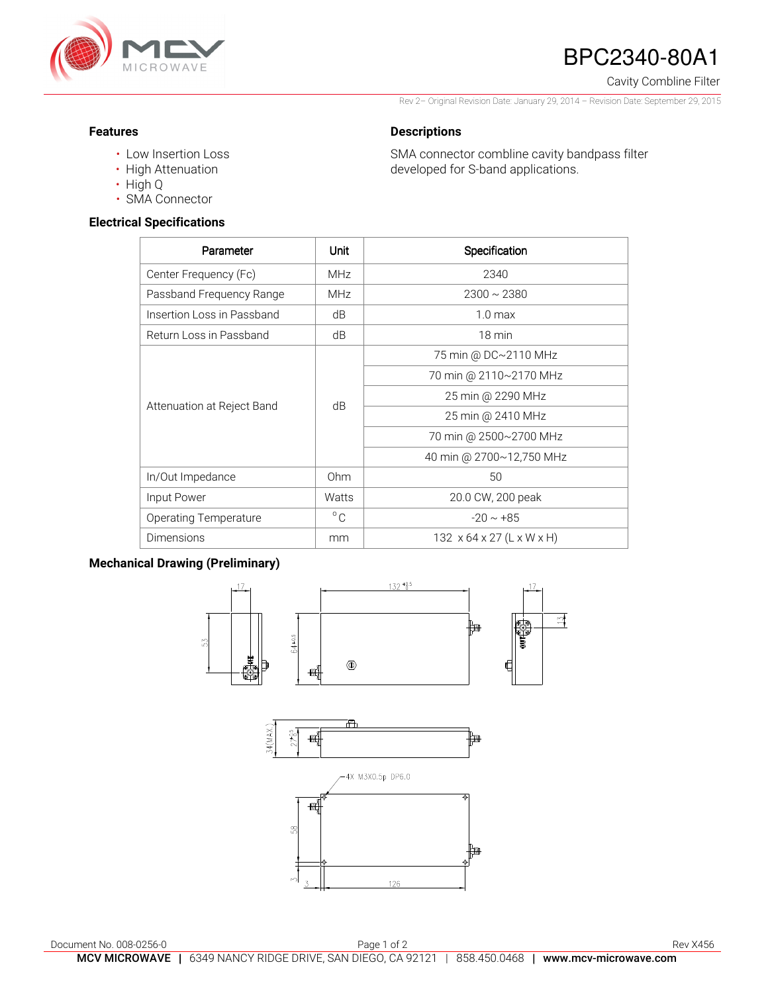

# BPC2340-80A1

Cavity Combline Filter

Rev 2– Original Revision Date: January 29, 2014 – Revision Date: September 29, 2015

SMA connector combline cavity bandpass filter

developed for S-band applications.

### **Features**

- Low Insertion Loss
- High Attenuation
- High Q
- SMA Connector

## **Electrical Specifications**

| Parameter                  | Unit         | Specification                         |
|----------------------------|--------------|---------------------------------------|
| Center Frequency (Fc)      | MHz          | 2340                                  |
| Passband Frequency Range   | <b>MHz</b>   | $2300 \sim 2380$                      |
| Insertion Loss in Passband | dB           | 1.0 <sub>max</sub>                    |
| Return Loss in Passband    | dB           | $18 \text{ min}$                      |
| Attenuation at Reject Band | dB           | 75 min @ DC~2110 MHz                  |
|                            |              | 70 min @ 2110~2170 MHz                |
|                            |              | 25 min @ 2290 MHz                     |
|                            |              | 25 min @ 2410 MHz                     |
|                            |              | 70 min @ 2500~2700 MHz                |
|                            |              | 40 min @ 2700~12,750 MHz              |
| In/Out Impedance           | Ohm          | 50                                    |
| Input Power                | Watts        | 20.0 CW, 200 peak                     |
| Operating Temperature      | $^{\circ}$ C | $-20 \sim +85$                        |
| Dimensions                 | mm           | $132 \times 64 \times 27$ (L x W x H) |

**Descriptions** 

# **Mechanical Drawing (Preliminary)**